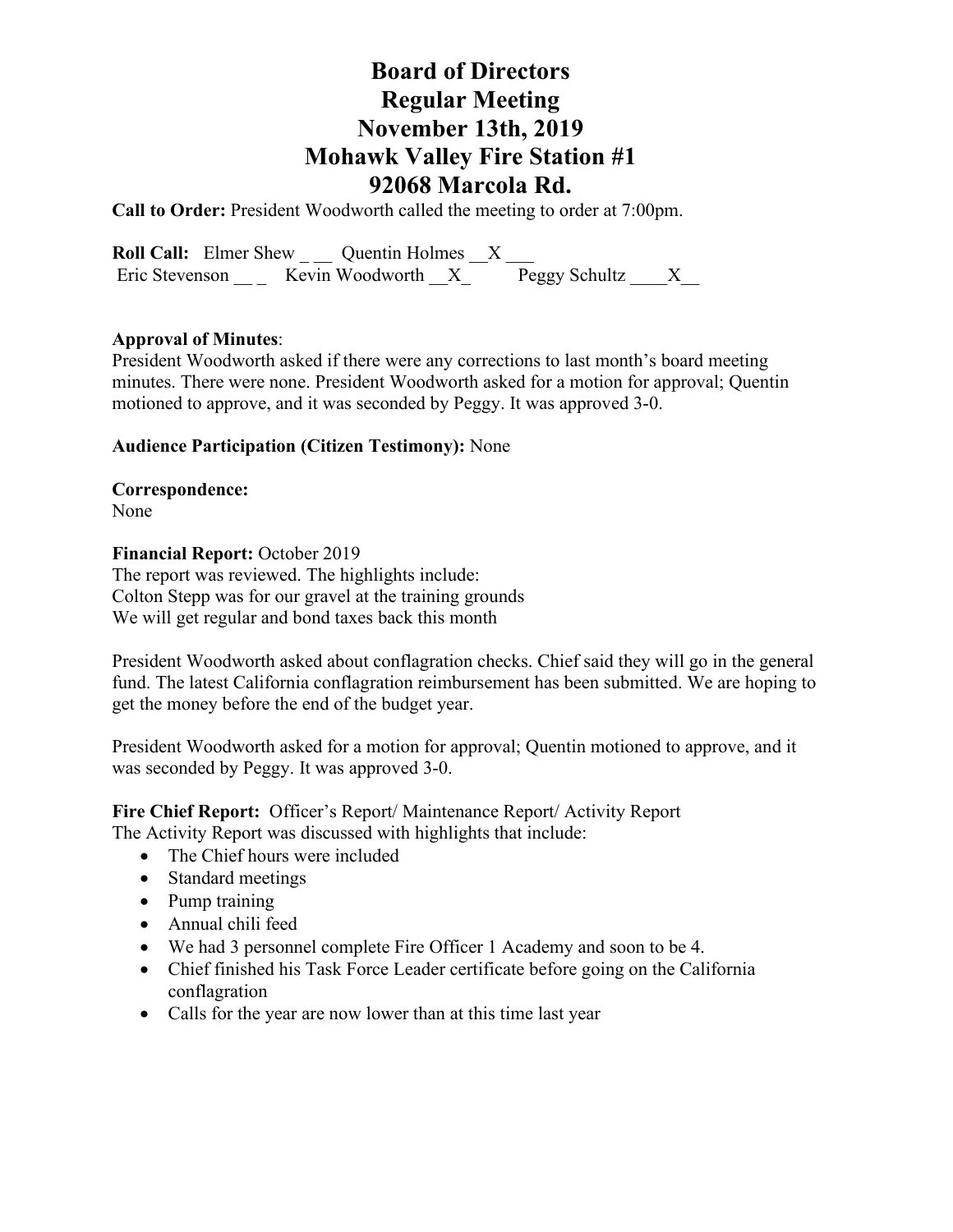# **Board of Directors Regular Meeting November 13th, 2019 Mohawk Valley Fire Station #1 92068 Marcola Rd.**

**Call to Order:** President Woodworth called the meeting to order at 7:00pm.

**Roll Call:** Elmer Shew \_ \_ Quentin Holmes  $\_\_X$  \_ Eric Stevenson \_\_\_ Kevin Woodworth  $X^-$  Peggy Schultz \_\_\_X\_

## **Approval of Minutes**:

President Woodworth asked if there were any corrections to last month's board meeting minutes. There were none. President Woodworth asked for a motion for approval; Quentin motioned to approve, and it was seconded by Peggy. It was approved 3-0.

## **Audience Participation (Citizen Testimony):** None

**Correspondence:**  None

**Financial Report:** October 2019

The report was reviewed. The highlights include: Colton Stepp was for our gravel at the training grounds We will get regular and bond taxes back this month

President Woodworth asked about conflagration checks. Chief said they will go in the general fund. The latest California conflagration reimbursement has been submitted. We are hoping to get the money before the end of the budget year.

President Woodworth asked for a motion for approval; Quentin motioned to approve, and it was seconded by Peggy. It was approved 3-0.

**Fire Chief Report:** Officer's Report/ Maintenance Report/ Activity Report The Activity Report was discussed with highlights that include:

- The Chief hours were included
- Standard meetings
- Pump training
- Annual chili feed
- We had 3 personnel complete Fire Officer 1 Academy and soon to be 4.
- Chief finished his Task Force Leader certificate before going on the California conflagration
- Calls for the year are now lower than at this time last year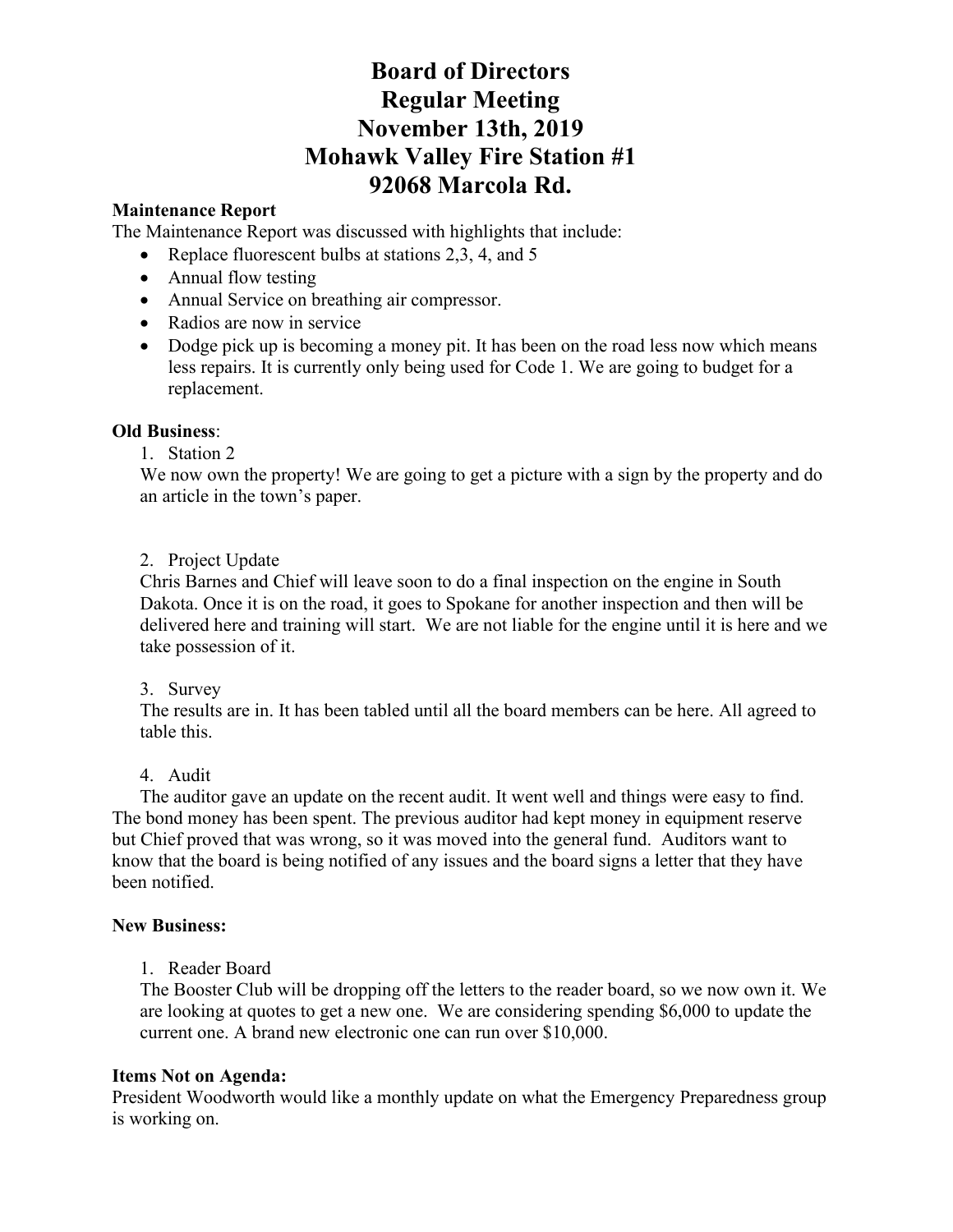# **Board of Directors Regular Meeting November 13th, 2019 Mohawk Valley Fire Station #1 92068 Marcola Rd.**

### **Maintenance Report**

The Maintenance Report was discussed with highlights that include:

- Replace fluorescent bulbs at stations 2,3, 4, and 5
- Annual flow testing
- Annual Service on breathing air compressor.
- Radios are now in service
- Dodge pick up is becoming a money pit. It has been on the road less now which means less repairs. It is currently only being used for Code 1. We are going to budget for a replacement.

### **Old Business**:

### 1. Station 2

We now own the property! We are going to get a picture with a sign by the property and do an article in the town's paper.

## 2. Project Update

Chris Barnes and Chief will leave soon to do a final inspection on the engine in South Dakota. Once it is on the road, it goes to Spokane for another inspection and then will be delivered here and training will start. We are not liable for the engine until it is here and we take possession of it.

#### 3. Survey

The results are in. It has been tabled until all the board members can be here. All agreed to table this.

## 4. Audit

 The auditor gave an update on the recent audit. It went well and things were easy to find. The bond money has been spent. The previous auditor had kept money in equipment reserve but Chief proved that was wrong, so it was moved into the general fund. Auditors want to know that the board is being notified of any issues and the board signs a letter that they have been notified.

#### **New Business:**

1. Reader Board

The Booster Club will be dropping off the letters to the reader board, so we now own it. We are looking at quotes to get a new one. We are considering spending \$6,000 to update the current one. A brand new electronic one can run over \$10,000.

## **Items Not on Agenda:**

President Woodworth would like a monthly update on what the Emergency Preparedness group is working on.